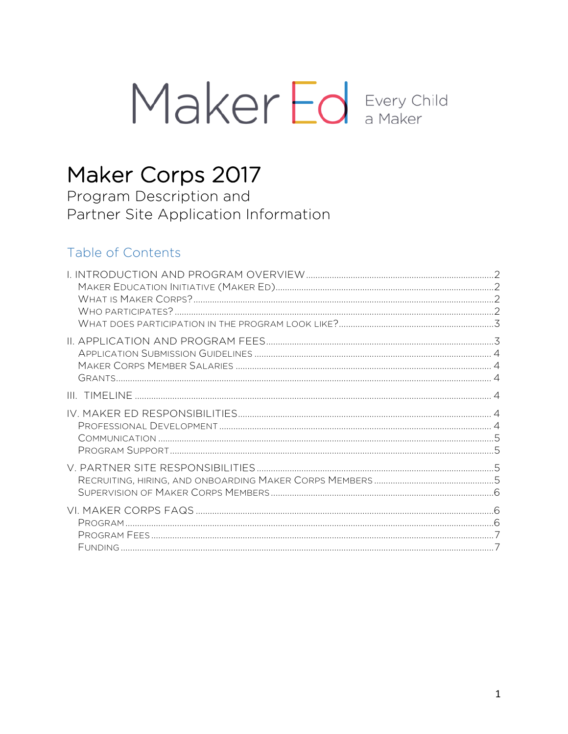# Maker Ed Every Child

## Maker Corps 2017

Program Description and Partner Site Application Information

## Table of Contents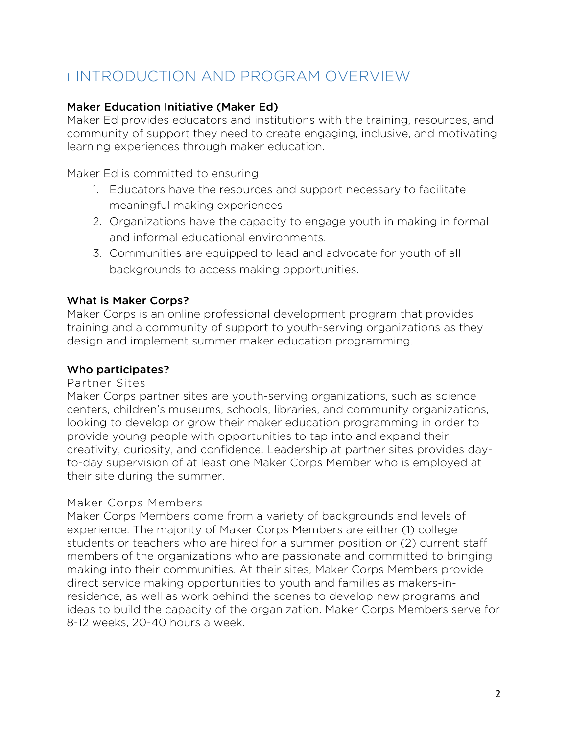## I. INTRODUCTION AND PROGRAM OVERVIEW

#### Maker Education Initiative (Maker Ed)

Maker Ed provides educators and institutions with the training, resources, and community of support they need to create engaging, inclusive, and motivating learning experiences through maker education.

Maker Ed is committed to ensuring:

- 1. Educators have the resources and support necessary to facilitate meaningful making experiences.
- 2. Organizations have the capacity to engage youth in making in formal and informal educational environments.
- 3. Communities are equipped to lead and advocate for youth of all backgrounds to access making opportunities.

#### What is Maker Corps?

Maker Corps is an online professional development program that provides training and a community of support to youth-serving organizations as they design and implement summer maker education programming.

#### Who participates?

#### Partner Sites

Maker Corps partner sites are youth-serving organizations, such as science centers, children's museums, schools, libraries, and community organizations, looking to develop or grow their maker education programming in order to provide young people with opportunities to tap into and expand their creativity, curiosity, and confidence. Leadership at partner sites provides dayto-day supervision of at least one Maker Corps Member who is employed at their site during the summer.

#### Maker Corps Members

Maker Corps Members come from a variety of backgrounds and levels of experience. The majority of Maker Corps Members are either (1) college students or teachers who are hired for a summer position or (2) current staff members of the organizations who are passionate and committed to bringing making into their communities. At their sites, Maker Corps Members provide direct service making opportunities to youth and families as makers-inresidence, as well as work behind the scenes to develop new programs and ideas to build the capacity of the organization. Maker Corps Members serve for 8-12 weeks, 20-40 hours a week.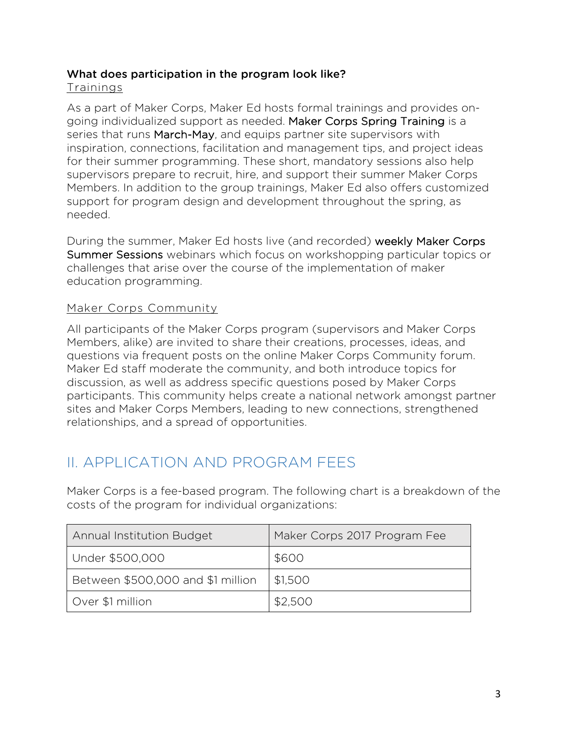#### What does participation in the program look like?

#### Trainings

As a part of Maker Corps, Maker Ed hosts formal trainings and provides ongoing individualized support as needed. Maker Corps Spring Training is a series that runs March-May, and equips partner site supervisors with inspiration, connections, facilitation and management tips, and project ideas for their summer programming. These short, mandatory sessions also help supervisors prepare to recruit, hire, and support their summer Maker Corps Members. In addition to the group trainings, Maker Ed also offers customized support for program design and development throughout the spring, as needed.

During the summer, Maker Ed hosts live (and recorded) weekly Maker Corps Summer Sessions webinars which focus on workshopping particular topics or challenges that arise over the course of the implementation of maker education programming.

#### Maker Corps Community

All participants of the Maker Corps program (supervisors and Maker Corps Members, alike) are invited to share their creations, processes, ideas, and questions via frequent posts on the online Maker Corps Community forum. Maker Ed staff moderate the community, and both introduce topics for discussion, as well as address specific questions posed by Maker Corps participants. This community helps create a national network amongst partner sites and Maker Corps Members, leading to new connections, strengthened relationships, and a spread of opportunities.

## II. APPLICATION AND PROGRAM FEES

Maker Corps is a fee-based program. The following chart is a breakdown of the costs of the program for individual organizations:

| <b>Annual Institution Budget</b>  | Maker Corps 2017 Program Fee |
|-----------------------------------|------------------------------|
| Under \$500,000                   | \$600                        |
| Between \$500,000 and \$1 million | \$1,500                      |
| Over \$1 million                  | \$2,500                      |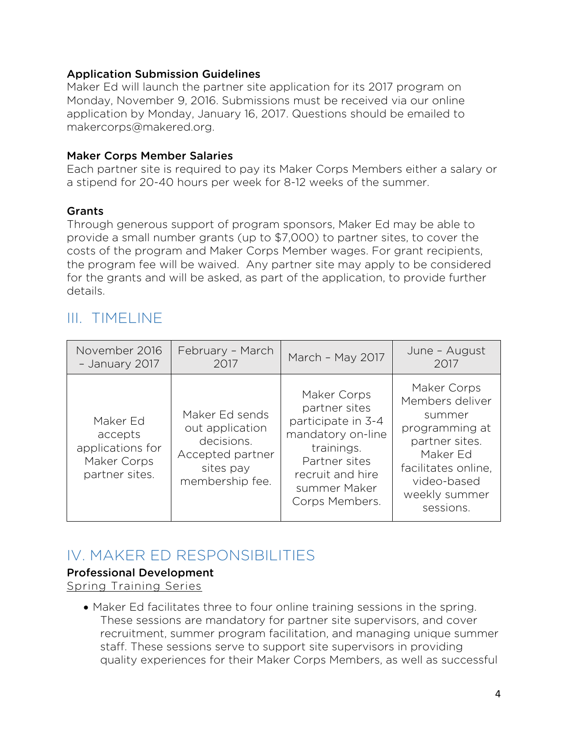#### Application Submission Guidelines

Maker Ed will launch the partner site application for its 2017 program on Monday, November 9, 2016. Submissions must be received via our online application by Monday, January 16, 2017. Questions should be emailed to makercorps@makered.org.

#### Maker Corps Member Salaries

Each partner site is required to pay its Maker Corps Members either a salary or a stipend for 20-40 hours per week for 8-12 weeks of the summer.

#### **Grants**

Through generous support of program sponsors, Maker Ed may be able to provide a small number grants (up to \$7,000) to partner sites, to cover the costs of the program and Maker Corps Member wages. For grant recipients, the program fee will be waived. Any partner site may apply to be considered for the grants and will be asked, as part of the application, to provide further details.

### III. TIMELINE

| November 2016                                                            | February - March                                                                                    | March - May 2017                                                                                                                                             | June - August                                                                                                                                                |
|--------------------------------------------------------------------------|-----------------------------------------------------------------------------------------------------|--------------------------------------------------------------------------------------------------------------------------------------------------------------|--------------------------------------------------------------------------------------------------------------------------------------------------------------|
| - January 2017                                                           | 2017                                                                                                |                                                                                                                                                              | 2017                                                                                                                                                         |
| Maker Ed<br>accepts<br>applications for<br>Maker Corps<br>partner sites. | Maker Ed sends<br>out application<br>decisions.<br>Accepted partner<br>sites pay<br>membership fee. | Maker Corps<br>partner sites<br>participate in 3-4<br>mandatory on-line<br>trainings.<br>Partner sites<br>recruit and hire<br>summer Maker<br>Corps Members. | Maker Corps<br>Members deliver<br>summer<br>programming at<br>partner sites.<br>Maker Ed<br>facilitates online,<br>video-based<br>weekly summer<br>sessions. |

## IV. MAKER ED RESPONSIBILITIES

#### Professional Development

Spring Training Series

• Maker Ed facilitates three to four online training sessions in the spring. These sessions are mandatory for partner site supervisors, and cover recruitment, summer program facilitation, and managing unique summer staff. These sessions serve to support site supervisors in providing quality experiences for their Maker Corps Members, as well as successful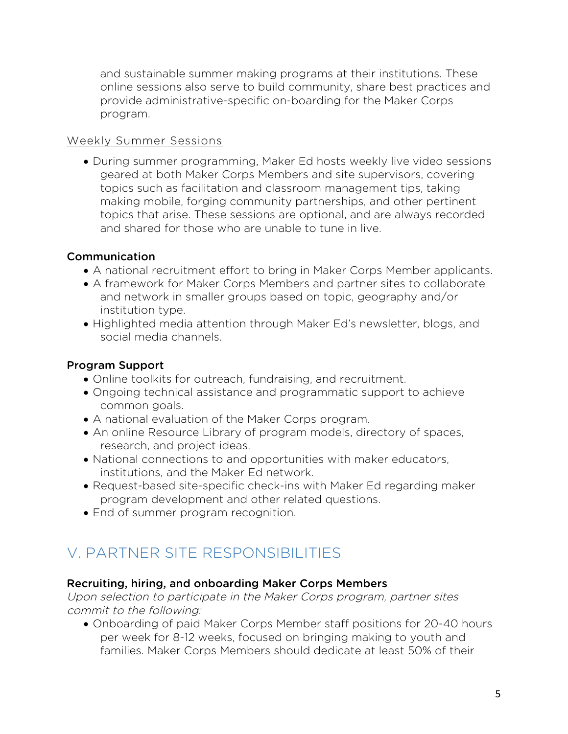and sustainable summer making programs at their institutions. These online sessions also serve to build community, share best practices and provide administrative-specific on-boarding for the Maker Corps program.

#### Weekly Summer Sessions

• During summer programming, Maker Ed hosts weekly live video sessions geared at both Maker Corps Members and site supervisors, covering topics such as facilitation and classroom management tips, taking making mobile, forging community partnerships, and other pertinent topics that arise. These sessions are optional, and are always recorded and shared for those who are unable to tune in live.

#### Communication

- A national recruitment effort to bring in Maker Corps Member applicants.
- A framework for Maker Corps Members and partner sites to collaborate and network in smaller groups based on topic, geography and/or institution type.
- Highlighted media attention through Maker Ed's newsletter, blogs, and social media channels.

#### Program Support

- Online toolkits for outreach, fundraising, and recruitment.
- Ongoing technical assistance and programmatic support to achieve common goals.
- A national evaluation of the Maker Corps program.
- An online Resource Library of program models, directory of spaces, research, and project ideas.
- National connections to and opportunities with maker educators, institutions, and the Maker Ed network.
- Request-based site-specific check-ins with Maker Ed regarding maker program development and other related questions.
- End of summer program recognition.

## V. PARTNER SITE RESPONSIBILITIES

#### Recruiting, hiring, and onboarding Maker Corps Members

Upon selection to participate in the Maker Corps program, partner sites commit to the following:

• Onboarding of paid Maker Corps Member staff positions for 20-40 hours per week for 8-12 weeks, focused on bringing making to youth and families. Maker Corps Members should dedicate at least 50% of their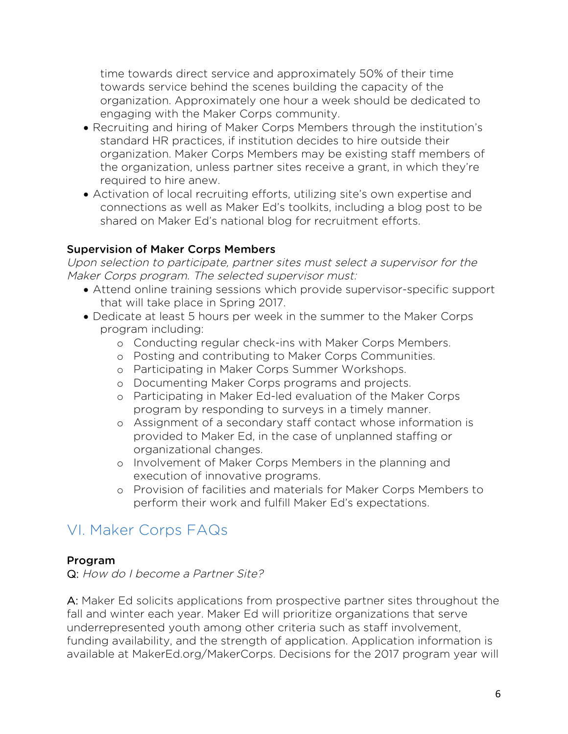time towards direct service and approximately 50% of their time towards service behind the scenes building the capacity of the organization. Approximately one hour a week should be dedicated to engaging with the Maker Corps community.

- Recruiting and hiring of Maker Corps Members through the institution's standard HR practices, if institution decides to hire outside their organization. Maker Corps Members may be existing staff members of the organization, unless partner sites receive a grant, in which they're required to hire anew.
- Activation of local recruiting efforts, utilizing site's own expertise and connections as well as Maker Ed's toolkits, including a blog post to be shared on Maker Ed's national blog for recruitment efforts.

#### Supervision of Maker Corps Members

Upon selection to participate, partner sites must select a supervisor for the Maker Corps program. The selected supervisor must:

- Attend online training sessions which provide supervisor-specific support that will take place in Spring 2017.
- Dedicate at least 5 hours per week in the summer to the Maker Corps program including:
	- o Conducting regular check-ins with Maker Corps Members.
	- o Posting and contributing to Maker Corps Communities.
	- o Participating in Maker Corps Summer Workshops.
	- o Documenting Maker Corps programs and projects.
	- o Participating in Maker Ed-led evaluation of the Maker Corps program by responding to surveys in a timely manner.
	- o Assignment of a secondary staff contact whose information is provided to Maker Ed, in the case of unplanned staffing or organizational changes.
	- o Involvement of Maker Corps Members in the planning and execution of innovative programs.
	- o Provision of facilities and materials for Maker Corps Members to perform their work and fulfill Maker Ed's expectations.

## VI. Maker Corps FAQs

#### Program

Q: How do I become a Partner Site?

A: Maker Ed solicits applications from prospective partner sites throughout the fall and winter each year. Maker Ed will prioritize organizations that serve underrepresented youth among other criteria such as staff involvement, funding availability, and the strength of application. Application information is available at MakerEd.org/MakerCorps. Decisions for the 2017 program year will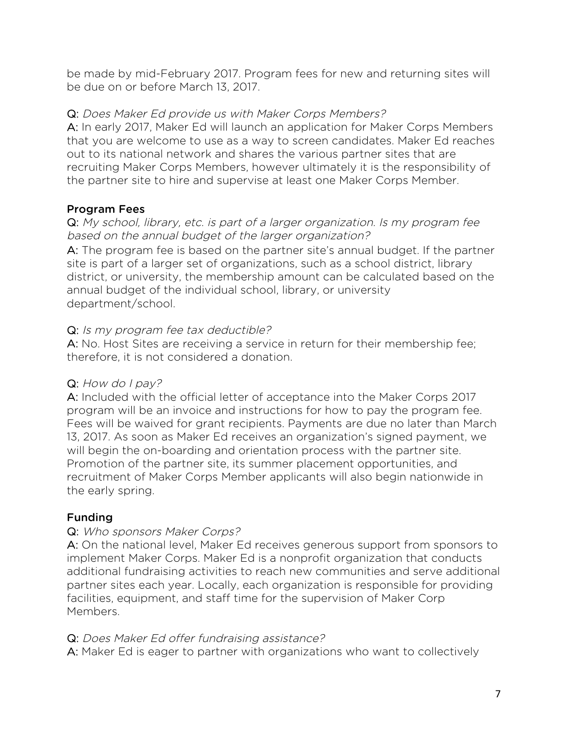be made by mid-February 2017. Program fees for new and returning sites will be due on or before March 13, 2017.

#### Q: Does Maker Ed provide us with Maker Corps Members?

A: In early 2017, Maker Ed will launch an application for Maker Corps Members that you are welcome to use as a way to screen candidates. Maker Ed reaches out to its national network and shares the various partner sites that are recruiting Maker Corps Members, however ultimately it is the responsibility of the partner site to hire and supervise at least one Maker Corps Member.

#### Program Fees

#### Q: My school, library, etc. is part of a larger organization. Is my program fee based on the annual budget of the larger organization?

A: The program fee is based on the partner site's annual budget. If the partner site is part of a larger set of organizations, such as a school district, library district, or university, the membership amount can be calculated based on the annual budget of the individual school, library, or university department/school.

#### Q: Is my program fee tax deductible?

A: No. Host Sites are receiving a service in return for their membership fee; therefore, it is not considered a donation.

#### Q: How do I pay?

A: Included with the official letter of acceptance into the Maker Corps 2017 program will be an invoice and instructions for how to pay the program fee. Fees will be waived for grant recipients. Payments are due no later than March 13, 2017. As soon as Maker Ed receives an organization's signed payment, we will begin the on-boarding and orientation process with the partner site. Promotion of the partner site, its summer placement opportunities, and recruitment of Maker Corps Member applicants will also begin nationwide in the early spring.

#### Funding-

#### Q: Who sponsors Maker Corps?

A: On the national level, Maker Ed receives generous support from sponsors to implement Maker Corps. Maker Ed is a nonprofit organization that conducts additional fundraising activities to reach new communities and serve additional partner sites each year. Locally, each organization is responsible for providing facilities, equipment, and staff time for the supervision of Maker Corp Members.

#### Q: Does Maker Ed offer fundraising assistance?

A: Maker Ed is eager to partner with organizations who want to collectively